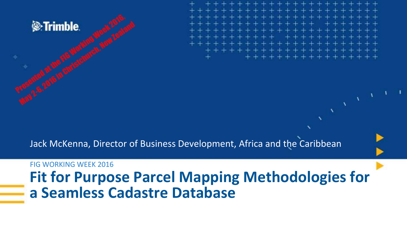

Jack McKenna, Director of Business Development, Africa and the Caribbean

#### FIG WORKING WEEK 2016

#### **Fit for Purpose Parcel Mapping Methodologies for a Seamless Cadastre Database**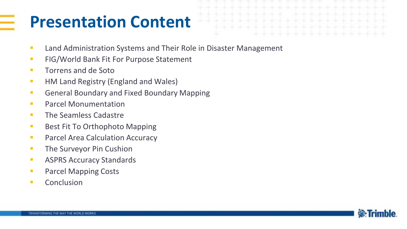#### **Presentation Content**

- **Land Administration Systems and Their Role in Disaster Management**
- **FIG/World Bank Fit For Purpose Statement**
- **Torrens and de Soto**
- **HM Land Registry (England and Wales)**
- **General Boundary and Fixed Boundary Mapping**
- **Parcel Monumentation**
- **The Seamless Cadastre**
- **Best Fit To Orthophoto Mapping**
- **Parcel Area Calculation Accuracy**
- **The Surveyor Pin Cushion**
- **ASPRS Accuracy Standards**
- **Parcel Mapping Costs**
- **Conclusion**

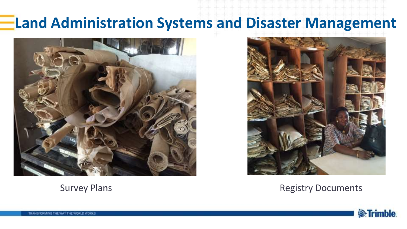#### **Land Administration Systems and Disaster Management**





Survey Plans **Registry Documents Registry Documents** 

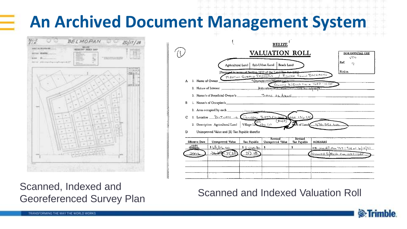## **An Archived Document Management System**



Scanned, Indexed and Georeferenced Survey Plan Scanned and Indexed Valuation Roll



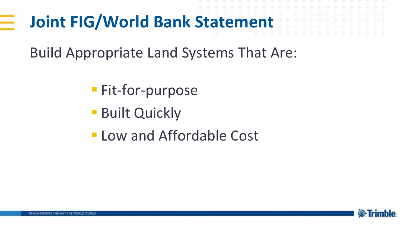## **Joint FIG/World Bank Statement**

Build Appropriate Land Systems That Are:

- **Fit-for-purpose**
- **Built Quickly**
- **Low and Affordable Cost**

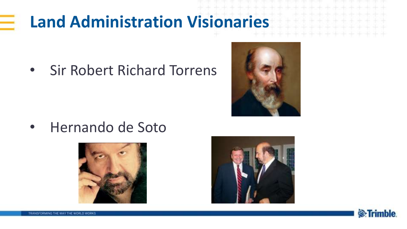### **Land Administration Visionaries**

• Sir Robert Richard Torrens



• Hernando de Soto





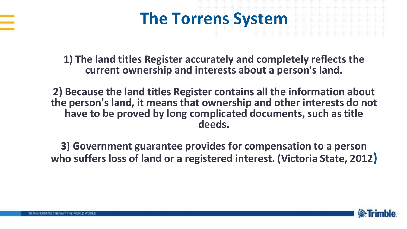



**1) The land titles Register accurately and completely reflects the current ownership and interests about a person's land.**

**2) Because the land titles Register contains all the information about the person's land, it means that ownership and other interests do not have to be proved by long complicated documents, such as title deeds.**

**3) Government guarantee provides for compensation to a person who suffers loss of land or a registered interest. (Victoria State, 2012)**

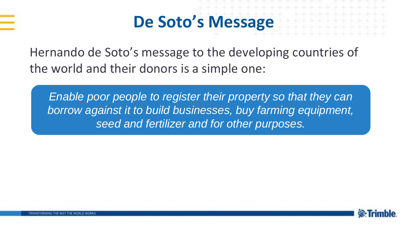

#### **De Soto's Message**

Hernando de Soto's message to the developing countries of the world and their donors is a simple one:

*Enable poor people to register their property so that they can borrow against it to build businesses, buy farming equipment, seed and fertilizer and for other purposes.* 

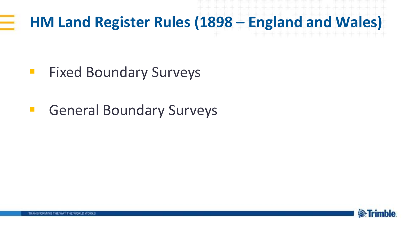#### **HM Land Register Rules (1898 – England and Wales)**

- **Fixed Boundary Surveys**
- **General Boundary Surveys**

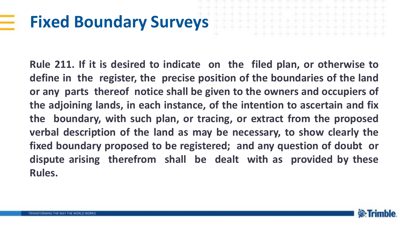#### **Fixed Boundary Surveys**

**Rule 211. If it is desired to indicate on the filed plan, or otherwise to define in the register, the precise position of the boundaries of the land or any parts thereof notice shall be given to the owners and occupiers of the adjoining lands, in each instance, of the intention to ascertain and fix the boundary, with such plan, or tracing, or extract from the proposed verbal description of the land as may be necessary, to show clearly the fixed boundary proposed to be registered; and any question of doubt or dispute arising therefrom shall be dealt with as provided by these Rules.**

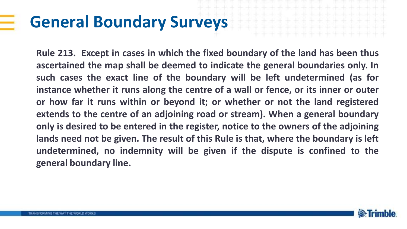#### **General Boundary Surveys**

**Rule 213. Except in cases in which the fixed boundary of the land has been thus ascertained the map shall be deemed to indicate the general boundaries only. In such cases the exact line of the boundary will be left undetermined (as for instance whether it runs along the centre of a wall or fence, or its inner or outer or how far it runs within or beyond it; or whether or not the land registered extends to the centre of an adjoining road or stream). When a general boundary only is desired to be entered in the register, notice to the owners of the adjoining lands need not be given. The result of this Rule is that, where the boundary is left undetermined, no indemnity will be given if the dispute is confined to the general boundary line.**

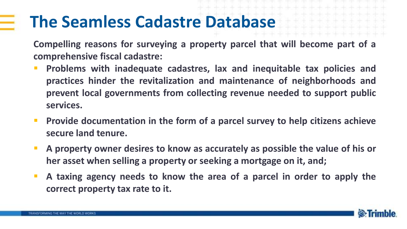#### **The Seamless Cadastre Database**

**Compelling reasons for surveying a property parcel that will become part of a comprehensive fiscal cadastre:**

- **Problems with inadequate cadastres, lax and inequitable tax policies and practices hinder the revitalization and maintenance of neighborhoods and prevent local governments from collecting revenue needed to support public services.**
- **Provide documentation in the form of a parcel survey to help citizens achieve secure land tenure.**
- **A property owner desires to know as accurately as possible the value of his or her asset when selling a property or seeking a mortgage on it, and;**
- **A taxing agency needs to know the area of a parcel in order to apply the correct property tax rate to it.**

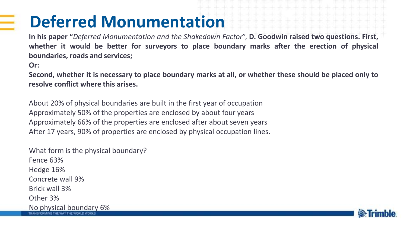## **Deferred Monumentation**

**In his paper "***Deferred Monumentation and the Shakedown Factor*", **D. Goodwin raised two questions. First, whether it would be better for surveyors to place boundary marks after the erection of physical boundaries, roads and services;**

**Or:**

Second, whether it is necessary to place boundary marks at all, or whether these should be placed only to **resolve conflict where this arises.**

About 20% of physical boundaries are built in the first year of occupation Approximately 50% of the properties are enclosed by about four years Approximately 66% of the properties are enclosed after about seven years After 17 years, 90% of properties are enclosed by physical occupation lines.

What form is the physical boundary? Fence 63% Hedge 16% Concrete wall 9% Brick wall 3% Other 3% No physical boundary 6%

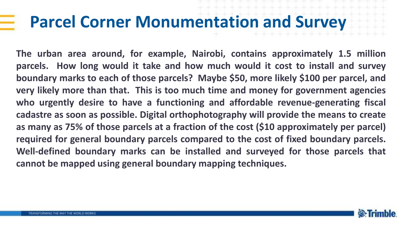#### **Parcel Corner Monumentation and Survey**

**The urban area around, for example, Nairobi, contains approximately 1.5 million parcels. How long would it take and how much would it cost to install and survey boundary marks to each of those parcels? Maybe \$50, more likely \$100 per parcel, and very likely more than that. This is too much time and money for government agencies who urgently desire to have a functioning and affordable revenue-generating fiscal cadastre as soon as possible. Digital orthophotography will provide the means to create as many as 75% of those parcels at a fraction of the cost (\$10 approximately per parcel) required for general boundary parcels compared to the cost of fixed boundary parcels. Well-defined boundary marks can be installed and surveyed for those parcels that cannot be mapped using general boundary mapping techniques.**

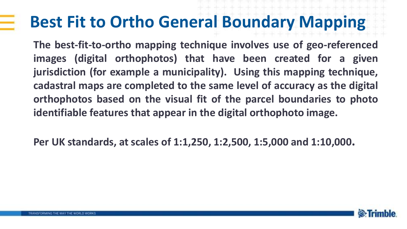#### **Best Fit to Ortho General Boundary Mapping**

**The best-fit-to-ortho mapping technique involves use of geo-referenced images (digital orthophotos) that have been created for a given jurisdiction (for example a municipality). Using this mapping technique, cadastral maps are completed to the same level of accuracy as the digital orthophotos based on the visual fit of the parcel boundaries to photo identifiable features that appear in the digital orthophoto image.**

**Per UK standards, at scales of 1:1,250, 1:2,500, 1:5,000 and 1:10,000.**

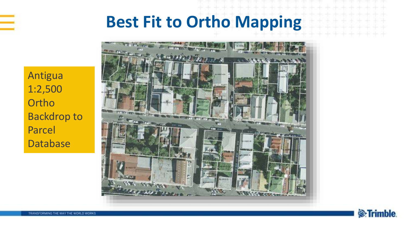

#### **Best Fit to Ortho Mapping**

Antigua 1:2,500 **Ortho** Backdrop to Parcel Database



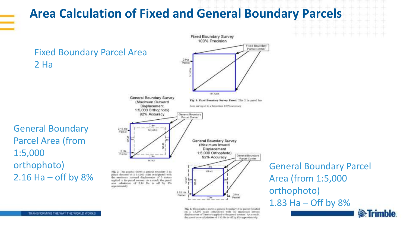#### **Area Calculation of Fixed and General Boundary Parcels**



Fig. 3. This graphic shown a general boundary 2 ha percel (located) on a 1:5,000 scale orthophotol with the maximum inwant. displacement of 3 meters applied to the pareal comum. As a result, the parent area calculation of 1.83 Hz is off by 8% approximately.

General Boundary Parcel Area (from 1:5,000 1.83 Ha – Off by 8% **S**:Trimble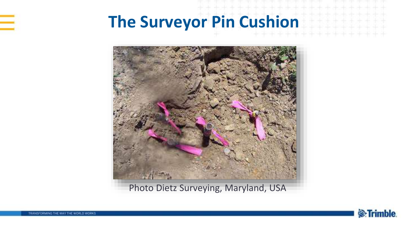#### **The Surveyor Pin Cushion**



Photo Dietz Surveying, Maryland, USA

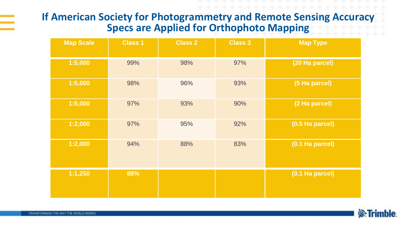#### **If American Society for Photogrammetry and Remote Sensing Accuracy Specs are Applied for Orthophoto Mapping**

| <b>Map Scale</b> | <b>Class 1</b> | <b>Class 2</b> | <b>Class 3</b> | <b>Map Type</b> |
|------------------|----------------|----------------|----------------|-----------------|
| 1:5,000          | 99%            | 98%            | 97%            | (20 Ha parcel)  |
| 1:5,000          | 98%            | 96%            | 93%            | (5 Ha parcel)   |
| 1:5,000          | 97%            | 93%            | 90%            | (2 Ha parcel)   |
| 1:2,000          | 97%            | 95%            | 92%            | (0.5 Ha parcel) |
| 1:2,000          | 94%            | 88%            | 83%            | (0.1 Ha parcel) |
| 1:1,250          | 88%            |                |                | (0.1 Ha parcel) |

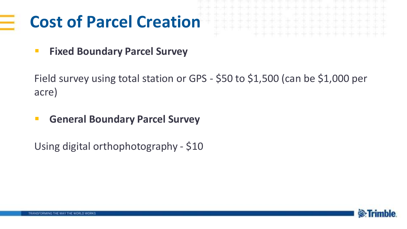## **Cost of Parcel Creation**

**Fixed Boundary Parcel Survey** 

Field survey using total station or GPS - \$50 to \$1,500 (can be \$1,000 per acre)

**General Boundary Parcel Survey** 

Using digital orthophotography - \$10

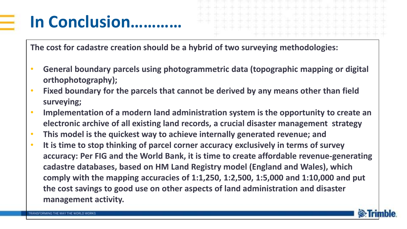## **In Conclusion…………**

**The cost for cadastre creation should be a hybrid of two surveying methodologies:** 

- **General boundary parcels using photogrammetric data (topographic mapping or digital orthophotography);**
- **Fixed boundary for the parcels that cannot be derived by any means other than field surveying;**
- **Implementation of a modern land administration system is the opportunity to create an electronic archive of all existing land records, a crucial disaster management strategy**
- **This model is the quickest way to achieve internally generated revenue; and**
- **It is time to stop thinking of parcel corner accuracy exclusively in terms of survey accuracy: Per FIG and the World Bank, it is time to create affordable revenue-generating cadastre databases, based on HM Land Registry model (England and Wales), which comply with the mapping accuracies of 1:1,250, 1:2,500, 1:5,000 and 1:10,000 and put the cost savings to good use on other aspects of land administration and disaster management activity.**